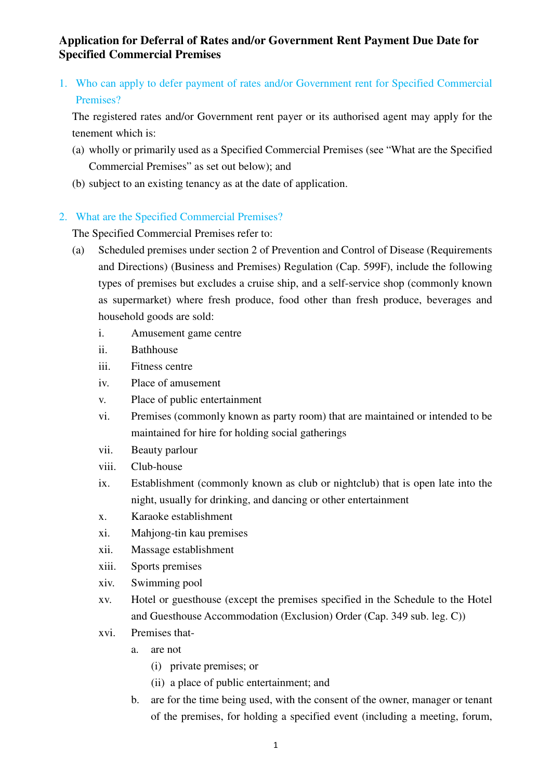1. Who can apply to defer payment of rates and/or Government rent for Specified Commercial Premises?

The registered rates and/or Government rent payer or its authorised agent may apply for the tenement which is:

- (a) wholly or primarily used as a Specified Commercial Premises (see "What are the Specified Commercial Premises" as set out below); and
- (b) subject to an existing tenancy as at the date of application.

## 2. What are the Specified Commercial Premises?

The Specified Commercial Premises refer to:

- (a) Scheduled premises under section 2 of Prevention and Control of Disease (Requirements and Directions) (Business and Premises) Regulation (Cap. 599F), include the following types of premises but excludes a cruise ship, and a self-service shop (commonly known as supermarket) where fresh produce, food other than fresh produce, beverages and household goods are sold:
	- i. Amusement game centre
	- ii. Bathhouse
	- iii. Fitness centre
	- iv. Place of amusement
	- v. Place of public entertainment
	- vi. Premises (commonly known as party room) that are maintained or intended to be maintained for hire for holding social gatherings
	- vii. Beauty parlour
	- viii. Club-house
	- ix. Establishment (commonly known as club or nightclub) that is open late into the night, usually for drinking, and dancing or other entertainment
	- x. Karaoke establishment
	- xi. Mahjong-tin kau premises
	- xii. Massage establishment
	- xiii. Sports premises
	- xiv. Swimming pool
	- xv. Hotel or guesthouse (except the premises specified in the Schedule to the Hotel and Guesthouse Accommodation (Exclusion) Order (Cap. 349 sub. leg. C))
	- xvi. Premises that
		- a. are not
			- (i) private premises; or
			- (ii) a place of public entertainment; and
		- b. are for the time being used, with the consent of the owner, manager or tenant of the premises, for holding a specified event (including a meeting, forum,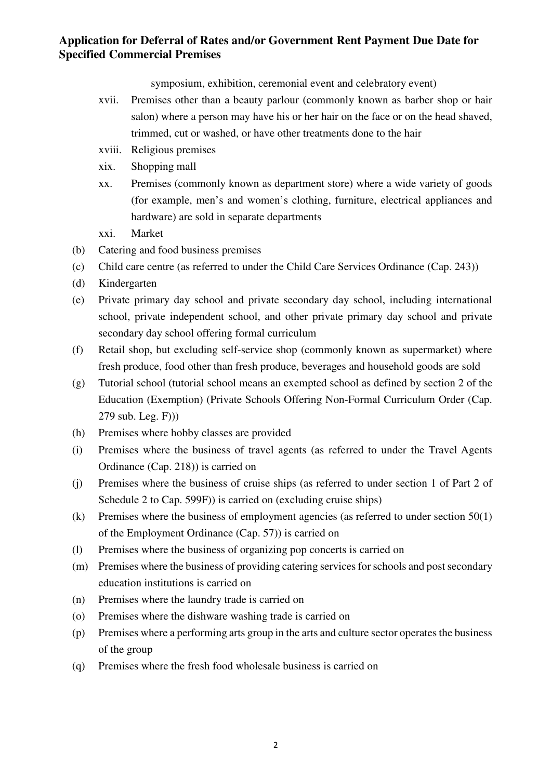symposium, exhibition, ceremonial event and celebratory event)

- xvii. Premises other than a beauty parlour (commonly known as barber shop or hair salon) where a person may have his or her hair on the face or on the head shaved, trimmed, cut or washed, or have other treatments done to the hair
- xviii. Religious premises
- xix. Shopping mall
- xx. Premises (commonly known as department store) where a wide variety of goods (for example, men's and women's clothing, furniture, electrical appliances and hardware) are sold in separate departments
- xxi. Market
- (b) Catering and food business premises
- (c) Child care centre (as referred to under the Child Care Services Ordinance (Cap. 243))
- (d) Kindergarten
- (e) Private primary day school and private secondary day school, including international school, private independent school, and other private primary day school and private secondary day school offering formal curriculum
- (f) Retail shop, but excluding self-service shop (commonly known as supermarket) where fresh produce, food other than fresh produce, beverages and household goods are sold
- (g) Tutorial school (tutorial school means an exempted school as defined by section 2 of the Education (Exemption) (Private Schools Offering Non-Formal Curriculum Order (Cap. 279 sub. Leg. F)))
- (h) Premises where hobby classes are provided
- (i) Premises where the business of travel agents (as referred to under the Travel Agents Ordinance (Cap. 218)) is carried on
- (j) Premises where the business of cruise ships (as referred to under section 1 of Part 2 of Schedule 2 to Cap. 599F)) is carried on (excluding cruise ships)
- (k) Premises where the business of employment agencies (as referred to under section 50(1) of the Employment Ordinance (Cap. 57)) is carried on
- (l) Premises where the business of organizing pop concerts is carried on
- (m) Premises where the business of providing catering services for schools and post secondary education institutions is carried on
- (n) Premises where the laundry trade is carried on
- (o) Premises where the dishware washing trade is carried on
- (p) Premises where a performing arts group in the arts and culture sector operates the business of the group
- (q) Premises where the fresh food wholesale business is carried on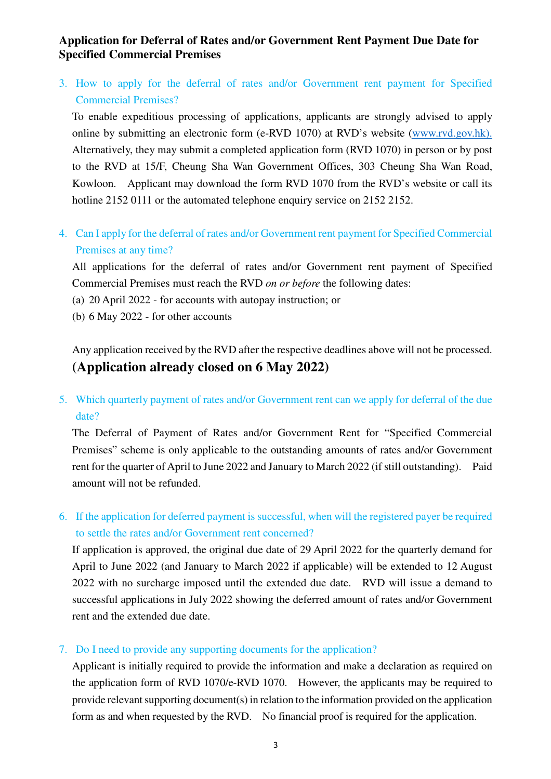3. How to apply for the deferral of rates and/or Government rent payment for Specified Commercial Premises?

To enable expeditious processing of applications, applicants are strongly advised to apply online by submitting an electronic form (e-RVD 1070) at RVD's website (www.rvd.gov.hk). Alternatively, they may submit a completed application form (RVD 1070) in person or by post to the RVD at 15/F, Cheung Sha Wan Government Offices, 303 Cheung Sha Wan Road, Kowloon. Applicant may download the form RVD 1070 from the RVD's website or call its hotline 2152 0111 or the automated telephone enquiry service on 2152 2152.

4. Can I apply for the deferral of rates and/or Government rent payment for Specified Commercial Premises at any time?

All applications for the deferral of rates and/or Government rent payment of Specified Commercial Premises must reach the RVD *on or before* the following dates:

- (a) 20 April 2022 for accounts with autopay instruction; or
- (b) 6 May 2022 for other accounts

Any application received by the RVD after the respective deadlines above will not be processed. **(Application already closed on 6 May 2022)** 

5. Which quarterly payment of rates and/or Government rent can we apply for deferral of the due date?

The Deferral of Payment of Rates and/or Government Rent for "Specified Commercial Premises" scheme is only applicable to the outstanding amounts of rates and/or Government rent for the quarter of April to June 2022 and January to March 2022 (if still outstanding). Paid amount will not be refunded.

6. If the application for deferred payment is successful, when will the registered payer be required to settle the rates and/or Government rent concerned?

If application is approved, the original due date of 29 April 2022 for the quarterly demand for April to June 2022 (and January to March 2022 if applicable) will be extended to 12 August 2022 with no surcharge imposed until the extended due date. RVD will issue a demand to successful applications in July 2022 showing the deferred amount of rates and/or Government rent and the extended due date.

#### 7. Do I need to provide any supporting documents for the application?

Applicant is initially required to provide the information and make a declaration as required on the application form of RVD 1070/e-RVD 1070. However, the applicants may be required to provide relevant supporting document(s) in relation to the information provided on the application form as and when requested by the RVD. No financial proof is required for the application.